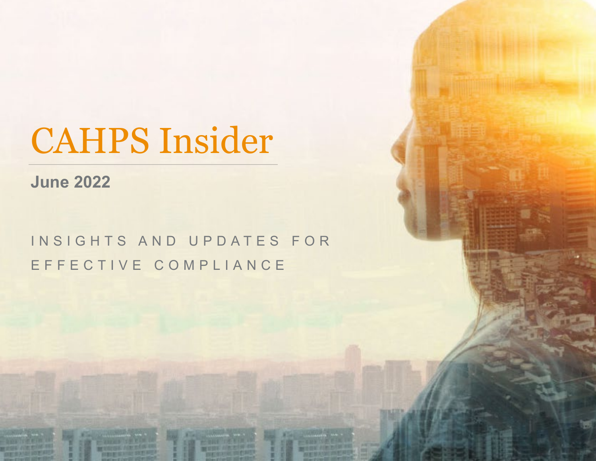# CAHPS Insider

**June 2022**

### INSIGHTS AND UPDATES FOR EFFECTIVE COMPLIANCE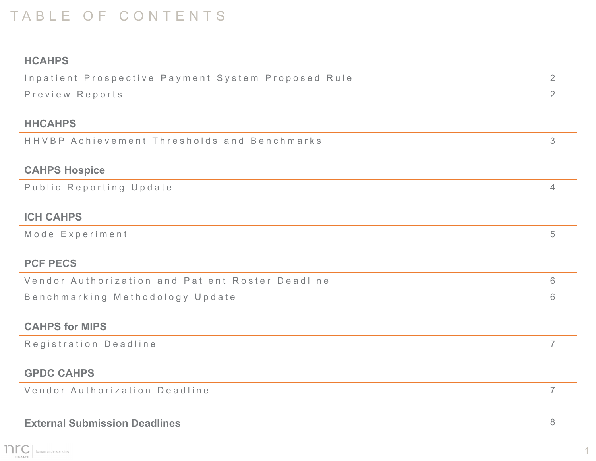### TABLE OF CONTENTS

#### **HCAHPS**

| Inpatient Prospective Payment System Proposed Rule | 2              |  |  |  |
|----------------------------------------------------|----------------|--|--|--|
| Preview Reports                                    | $\overline{2}$ |  |  |  |
|                                                    |                |  |  |  |
| <b>HHCAHPS</b>                                     |                |  |  |  |
| HHVBP Achievement Thresholds and Benchmarks        | 3              |  |  |  |
|                                                    |                |  |  |  |
| <b>CAHPS Hospice</b>                               |                |  |  |  |
| Public Reporting Update                            | $\overline{4}$ |  |  |  |
|                                                    |                |  |  |  |
| <b>ICH CAHPS</b>                                   |                |  |  |  |
| Mode Experiment                                    | 5              |  |  |  |
|                                                    |                |  |  |  |
| <b>PCF PECS</b>                                    |                |  |  |  |
| Vendor Authorization and Patient Roster Deadline   | 6              |  |  |  |
| Benchmarking Methodology Update                    |                |  |  |  |
|                                                    |                |  |  |  |
| <b>CAHPS for MIPS</b>                              |                |  |  |  |
| Registration Deadline                              | $\overline{7}$ |  |  |  |
|                                                    |                |  |  |  |
| <b>GPDC CAHPS</b>                                  |                |  |  |  |
| Vendor Authorization Deadline                      | $\overline{7}$ |  |  |  |
|                                                    |                |  |  |  |
| <b>External Submission Deadlines</b>               |                |  |  |  |

1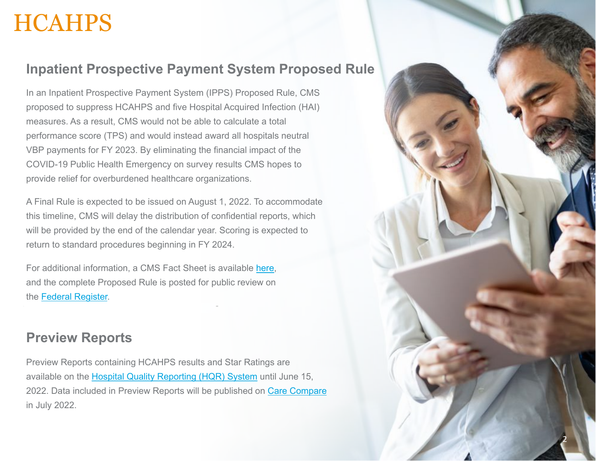### <span id="page-2-0"></span>**HCAHPS**

#### **Inpatient Prospective Payment System Proposed Rule**

In an Inpatient Prospective Payment System (IPPS) Proposed Rule, CMS proposed to suppress HCAHPS and five Hospital Acquired Infection (HAI) measures. As a result, CMS would not be able to calculate a total performance score (TPS) and would instead award all hospitals neutral VBP payments for FY 2023. By eliminating the financial impact of the COVID-19 Public Health Emergency on survey results CMS hopes to provide relief for overburdened healthcare organizations.

A Final Rule is expected to be issued on August 1, 2022. To accommodate this timeline, CMS will delay the distribution of confidential reports, which will be provided by the end of the calendar year. Scoring is expected to return to standard procedures beginning in FY 2024.

For additional information, a CMS Fact Sheet is available [here](https://www.cms.gov/newsroom/fact-sheets/fy-2023-hospital-inpatient-prospective-payment-system-ipps-and-long-term-care-hospitals-ltch-pps), and the complete Proposed Rule is posted for public review on the [Federal Register.](https://www.federalregister.gov/public-inspection/2022-08268/medicare-program-hospital-inpatient-prospective-payment-systems-quality-programs-and-medicare)

#### **Preview Reports**

Preview Reports containing HCAHPS results and Star Ratings are available on the [Hospital Quality Reporting \(HQR\) System](https://hqr.cms.gov/hqrng/login) until June 15, 2022. Data included in Preview Reports will be published on [Care Compare](https://www.medicare.gov/care-compare/) in July 2022.

2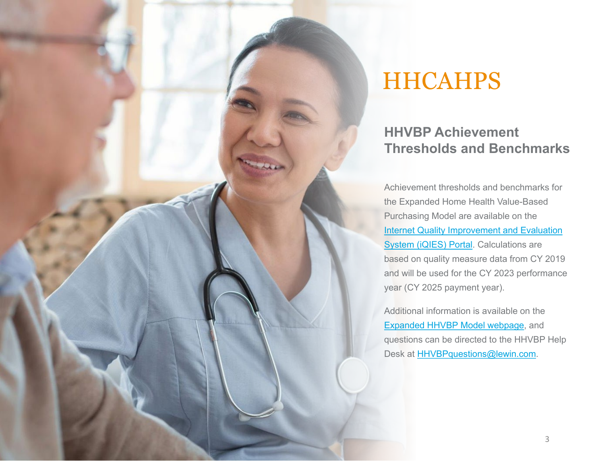<span id="page-3-0"></span>

### **HHCAHPS**

### **HHVBP Achievement Thresholds and Benchmarks**

Achievement thresholds and benchmarks for the Expanded Home Health Value-Based Purchasing Model are available on the [Internet Quality Improvement and Evaluation](https://iqies.cms.gov/)  System (iQIES) Portal. Calculations are based on quality measure data from CY 2019 and will be used for the CY 2023 performance year (CY 2025 payment year).

Additional information is available on the [Expanded HHVBP Model webpage](https://innovation.cms.gov/innovation-models/expanded-home-health-value-based-purchasing-model), and questions can be directed to the HHVBP Help Desk at [HHVBPquestions@lewin.com](mailto:HHVBPquestions@lewin.com).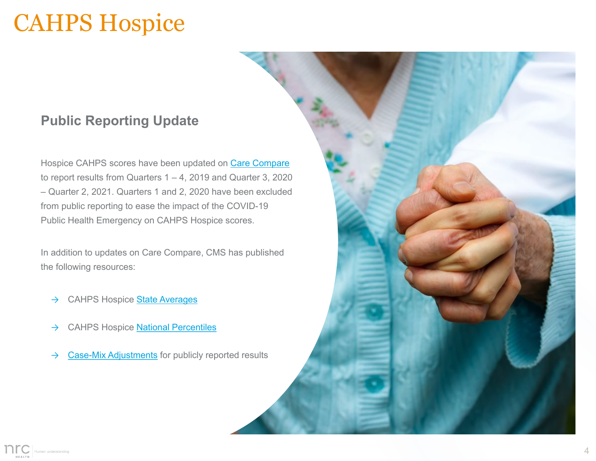### <span id="page-4-0"></span>CAHPS Hospice

### **Public Reporting Update**

Hospice CAHPS scores have been updated on [Care Compare](https://www.medicare.gov/care-compare/) to report results from Quarters  $1 - 4$ , 2019 and Quarter 3, 2020 – Quarter 2, 2021. Quarters 1 and 2, 2020 have been excluded from public reporting to ease the impact of the COVID-19 Public Health Emergency on CAHPS Hospice scores.

In addition to updates on Care Compare, CMS has published the following resources:

- → CAHPS Hospice [State Averages](https://www.hospicecahpssurvey.org/globalassets/hospice-cahps4/public-reporting/scoring-and-analysis/care-compare-current/cahps-hospice-survey-state-scores-q3-2021-final.pdf)
- → CAHPS Hospice [National Percentiles](https://www.hospicecahpssurvey.org/globalassets/hospice-cahps4/public-reporting/scoring-and-analysis/care-compare-current/cahps-hospice-survey-national-percentiles-q3-2021-final.pdf)
- $\rightarrow$  [Case-Mix Adjustments](https://www.hospicecahpssurvey.org/globalassets/hospice-cahps4/public-reporting/scoring-and-analysis/care-compare-current/cma_public_document-for-website-q3-2021-final.pdf) for publicly reported results

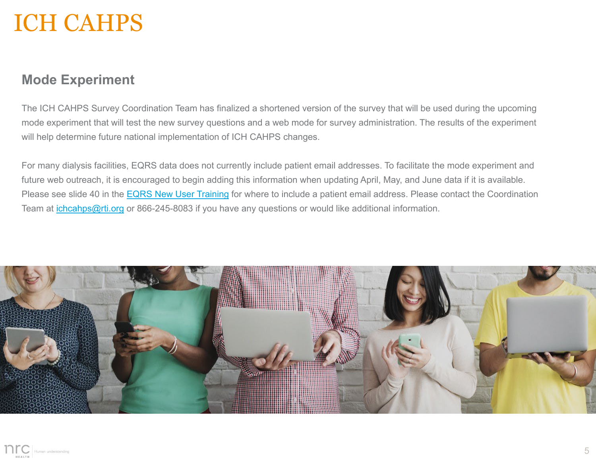### <span id="page-5-0"></span>ICH CAHPS

#### **Mode Experiment**

The ICH CAHPS Survey Coordination Team has finalized a shortened version of the survey that will be used during the upcoming mode experiment that will test the new survey questions and a web mode for survey administration. The results of the experiment will help determine future national implementation of ICH CAHPS changes.

For many dialysis facilities, EQRS data does not currently include patient email addresses. To facilitate the mode experiment and future web outreach, it is encouraged to begin adding this information when updating April, May, and June data if it is available. Please see slide 40 in the [EQRS New User Training](https://mycrownweb.org/wp-content/uploads/2021/12/EQRS-New-User-Training_Long-Version_2021script_New-ScreenShots_November_vFINAL508.pdf) for where to include a patient email address. Please contact the Coordination Team at [ichcahps@rti.org](mailto:ichcahps@rti.org) or 866-245-8083 if you have any questions or would like additional information.



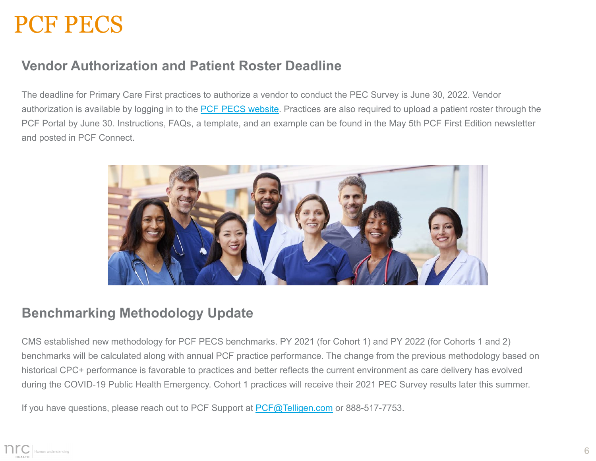### <span id="page-6-0"></span>PCF PECS

### **Vendor Authorization and Patient Roster Deadline**

The deadline for Primary Care First practices to authorize a vendor to conduct the PEC Survey is June 30, 2022. Vendor authorization is available by logging in to the **PCF PECS website**. Practices are also required to upload a patient roster through the PCF Portal by June 30. Instructions, FAQs, a template, and an example can be found in the May 5th PCF First Edition newsletter and posted in PCF Connect.



#### **Benchmarking Methodology Update**

CMS established new methodology for PCF PECS benchmarks. PY 2021 (for Cohort 1) and PY 2022 (for Cohorts 1 and 2) benchmarks will be calculated along with annual PCF practice performance. The change from the previous methodology based on historical CPC+ performance is favorable to practices and better reflects the current environment as care delivery has evolved during the COVID-19 Public Health Emergency. Cohort 1 practices will receive their 2021 PEC Survey results later this summer.

If you have questions, please reach out to PCF Support at [PCF@Telligen.com](mailto:PCF@Telligen.com) or 888-517-7753.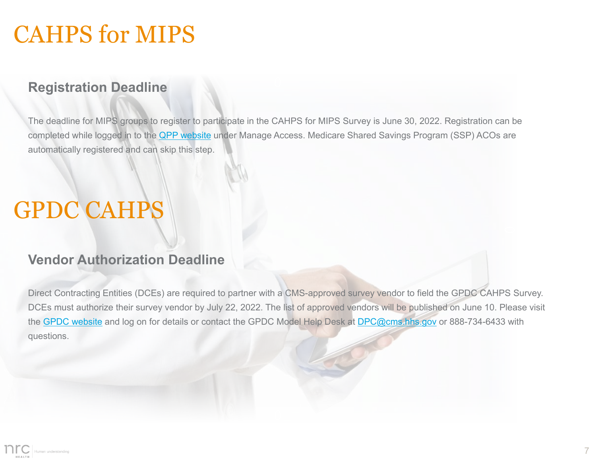### <span id="page-7-0"></span>CAHPS for MIPS

#### **Registration Deadline**

The deadline for MIPS groups to register to participate in the CAHPS for MIPS Survey is June 30, 2022. Registration can be completed while logged in to the [QPP website](https://qpp.cms.gov/login) under Manage Access. Medicare Shared Savings Program (SSP) ACOs are automatically registered and can skip this step.

### GPDC CAHPS

#### **Vendor Authorization Deadline**

Direct Contracting Entities (DCEs) are required to partner with a CMS-approved survey vendor to field the GPDC CAHPS Survey. DCEs must authorize their survey vendor by July 22, 2022. The list of approved vendors will be published on June 10. Please visit the [GPDC website](https://gpdccahps.org/) and log on for details or contact the GPDC Model Help Desk at [DPC@cms.hhs.gov](mailto:DPC@cms.hhs.gov) or 888-734-6433 with questions.